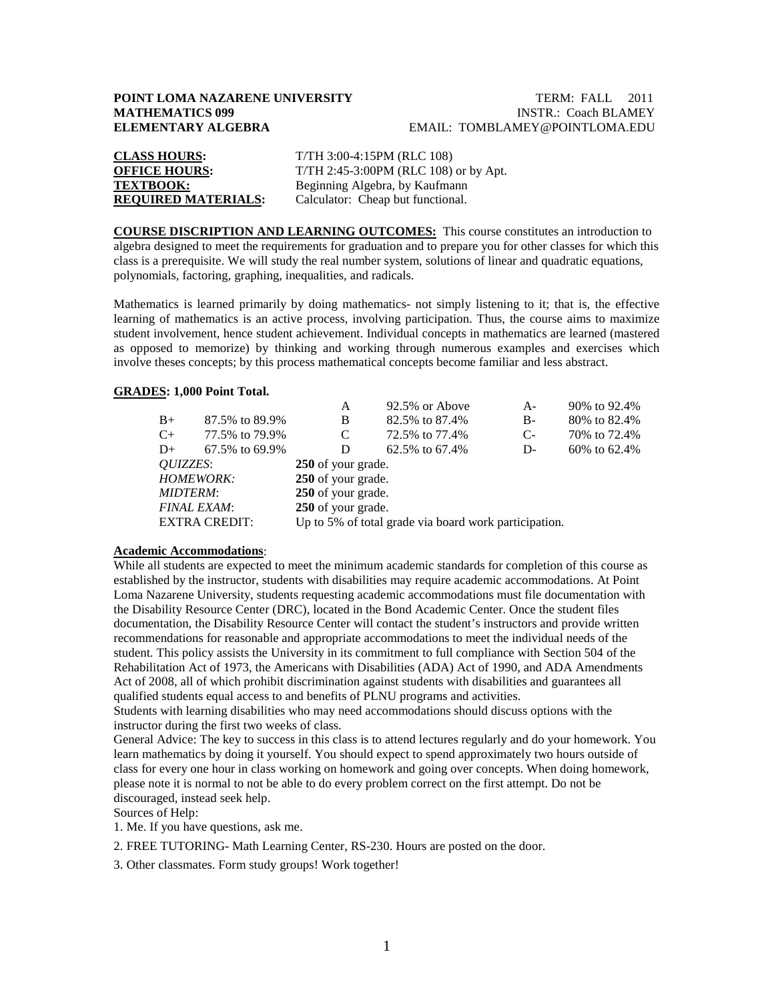# **POINT LOMA NAZARENE UNIVERSITY TERM: FALL 2011**<br> **MATHEMATICS 099** INSTR.: Coach BLAMEY

# **INSTR.: Coach BLAMEY ELEMENTARY ALGEBRA** EMAIL: TOMBLAMEY@POINTLOMA.EDU

| <b>CLASS HOURS:</b>        | T/TH 3:00-4:15PM (RLC 108)            |
|----------------------------|---------------------------------------|
| <b>OFFICE HOURS:</b>       | T/TH 2:45-3:00PM (RLC 108) or by Apt. |
| <b>TEXTBOOK:</b>           | Beginning Algebra, by Kaufmann        |
| <b>REQUIRED MATERIALS:</b> | Calculator: Cheap but functional.     |

**COURSE DISCRIPTION AND LEARNING OUTCOMES:** This course constitutes an introduction to algebra designed to meet the requirements for graduation and to prepare you for other classes for which this class is a prerequisite. We will study the real number system, solutions of linear and quadratic equations, polynomials, factoring, graphing, inequalities, and radicals.

Mathematics is learned primarily by doing mathematics- not simply listening to it; that is, the effective learning of mathematics is an active process, involving participation. Thus, the course aims to maximize student involvement, hence student achievement. Individual concepts in mathematics are learned (mastered as opposed to memorize) by thinking and working through numerous examples and exercises which involve theses concepts; by this process mathematical concepts become familiar and less abstract.

#### **GRADES : 1,000 Point Total.**

|                      |      |                    | A                                                     | 92.5% or Above | A-   | 90% to 92.4%   |  |
|----------------------|------|--------------------|-------------------------------------------------------|----------------|------|----------------|--|
|                      | $B+$ | 87.5% to 89.9%     | B                                                     | 82.5% to 87.4% | B-   | 80% to 82.4%   |  |
|                      | $C+$ | 77.5% to 79.9%     | C                                                     | 72.5% to 77.4% | $C-$ | 70\% to 72.4\% |  |
|                      | $D+$ | 67.5% to 69.9%     | D                                                     | 62.5% to 67.4% | $D-$ | 60\% to 62.4\% |  |
| <i>OUIZZES</i> :     |      |                    | 250 of your grade.                                    |                |      |                |  |
| <b>HOMEWORK:</b>     |      |                    | 250 of your grade.                                    |                |      |                |  |
| <b>MIDTERM:</b>      |      |                    | 250 of your grade.                                    |                |      |                |  |
| <b>FINAL EXAM:</b>   |      | 250 of your grade. |                                                       |                |      |                |  |
| <b>EXTRA CREDIT:</b> |      |                    | Up to 5% of total grade via board work participation. |                |      |                |  |
|                      |      |                    |                                                       |                |      |                |  |

#### **Academic Accommodations** :

While all students are expected to meet the minimum academic standards for completion of this course as established by the instructor, students with disabilities may require academic accommodations. At Point Loma Nazarene University, students requesting academic accommodations must file documentation with the Disability Resource Center (DRC), located in the Bond Academic Center. Once the student files documentation, the Disability Resource Center will contact the student's instructors and provide written recommendations for reasonable and appropriate accommodations to meet the individual needs of the student. This policy assists the University in its commitment to full compliance with Section 504 of the Rehabilitation Act of 1973, the Americans with Disabilities (ADA) Act of 1990, and ADA Amendments Act of 2008, all of which prohibit discrimination against students with disabilities and guarantees all qualified students equal access to and benefits of PLNU programs and activities.

Students with learning disabilities who may need accommodations should discuss options with the instructor during the first two weeks of class.

General Advice: The key to success in this class is to attend lectures regularly and do your homework. You learn mathematics by doing it yourself. You should expect to spend approximately two hours outside of class for every one hour in class working on homework and going over concepts. When doing homework, please note it is normal to not be able to do every problem correct on the first attempt. Do not be discouraged, instead seek help.

Sources of Help:

1. Me. If you have questions, ask me.

2. FREE TUTORING- Math Learning Center, RS-230. Hours are posted on the door.

3. Other classmates. Form study groups! Work together!